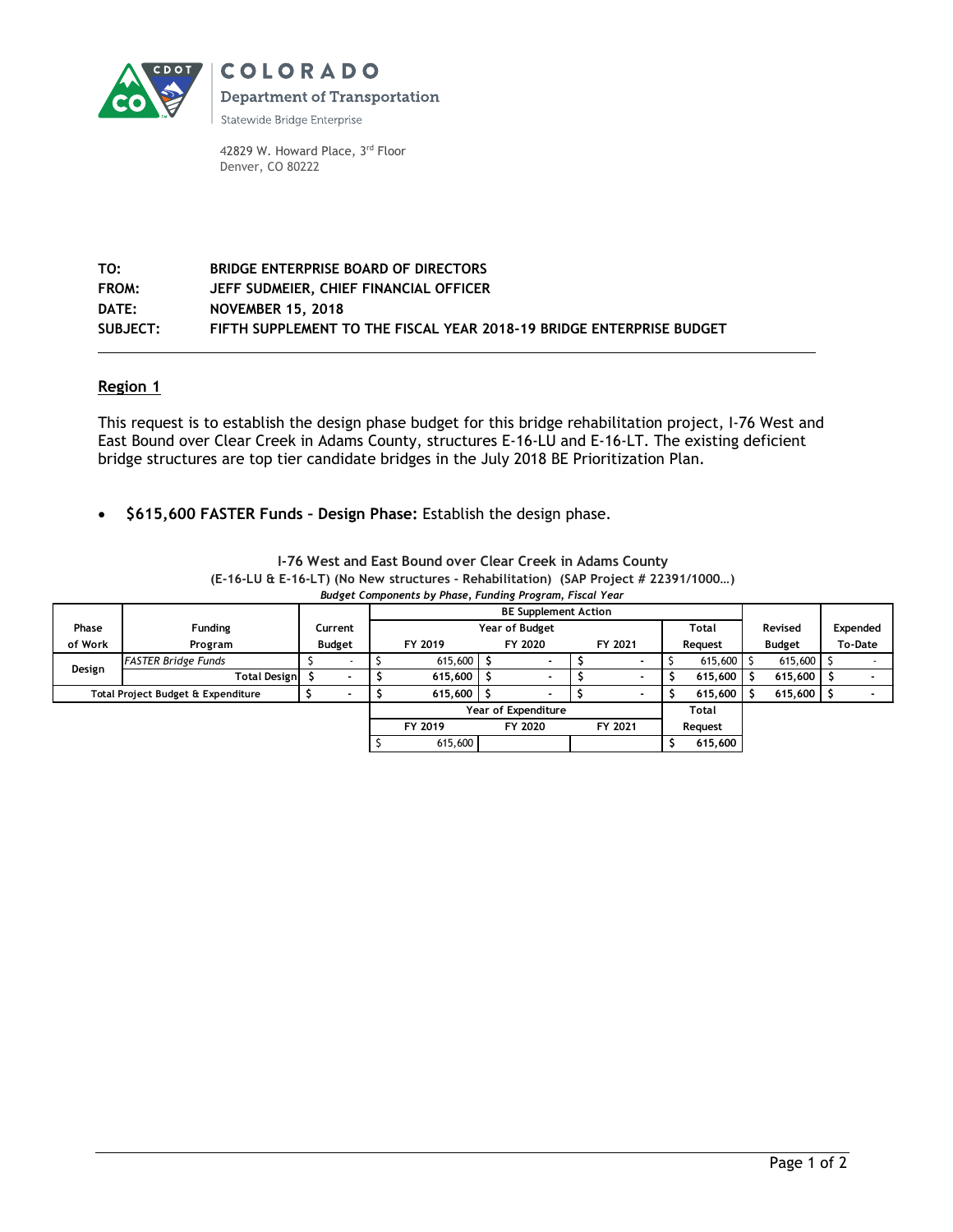

**COLORADO Department of Transportation** 

Statewide Bridge Enterprise

42829 W. Howard Place, 3rd Floor Denver, CO 80222

## **TO: BRIDGE ENTERPRISE BOARD OF DIRECTORS FROM: JEFF SUDMEIER, CHIEF FINANCIAL OFFICER DATE: NOVEMBER 15, 2018 SUBJECT: FIFTH SUPPLEMENT TO THE FISCAL YEAR 2018-19 BRIDGE ENTERPRISE BUDGET**

## **Region 1**

This request is to establish the design phase budget for this bridge rehabilitation project, I-76 West and East Bound over Clear Creek in Adams County, structures E-16-LU and E-16-LT. The existing deficient bridge structures are top tier candidate bridges in the July 2018 BE Prioritization Plan.

**\$615,600 FASTER Funds – Design Phase:** Establish the design phase.

|                                                                |                            |               | <b>BE Supplement Action</b> |                    |                          |  |                          |         |              |  |               |         |          |  |
|----------------------------------------------------------------|----------------------------|---------------|-----------------------------|--------------------|--------------------------|--|--------------------------|---------|--------------|--|---------------|---------|----------|--|
| Phase                                                          | <b>Funding</b>             | Current       | Year of Budget              |                    |                          |  |                          |         | <b>Total</b> |  | Revised       |         | Expended |  |
| of Work                                                        | Program                    | <b>Budget</b> | FY 2019                     |                    | FY 2020                  |  | FY 2021                  | Request |              |  | <b>Budget</b> | To-Date |          |  |
| Design                                                         | <b>FASTER Bridge Funds</b> | $\sim$        | 615,600                     |                    | $\overline{\phantom{a}}$ |  |                          |         | 615,600      |  | 615,600       |         |          |  |
|                                                                | <b>Total Design</b>        |               | $615,600$ $\frac{6}{5}$     |                    | $\overline{\phantom{0}}$ |  | $\overline{\phantom{0}}$ |         | 615,600      |  | 615,600       |         |          |  |
| Total Project Budget & Expenditure<br>$\overline{\phantom{a}}$ |                            |               | 615,600                     |                    | $\overline{\phantom{0}}$ |  |                          |         | 615,600      |  | 615,600       |         |          |  |
|                                                                |                            |               | <b>Year of Expenditure</b>  |                    |                          |  |                          |         | Total        |  |               |         |          |  |
|                                                                |                            |               | FY 2019                     | FY 2020<br>FY 2021 |                          |  | Request                  |         |              |  |               |         |          |  |
|                                                                |                            |               | 615,600                     |                    |                          |  |                          |         | 615,600      |  |               |         |          |  |

**I-76 West and East Bound over Clear Creek in Adams County (E-16-LU & E-16-LT) (No New structures - Rehabilitation) (SAP Project # 22391/1000…)** *Budget Components by Phase, Funding Program, Fiscal Year*